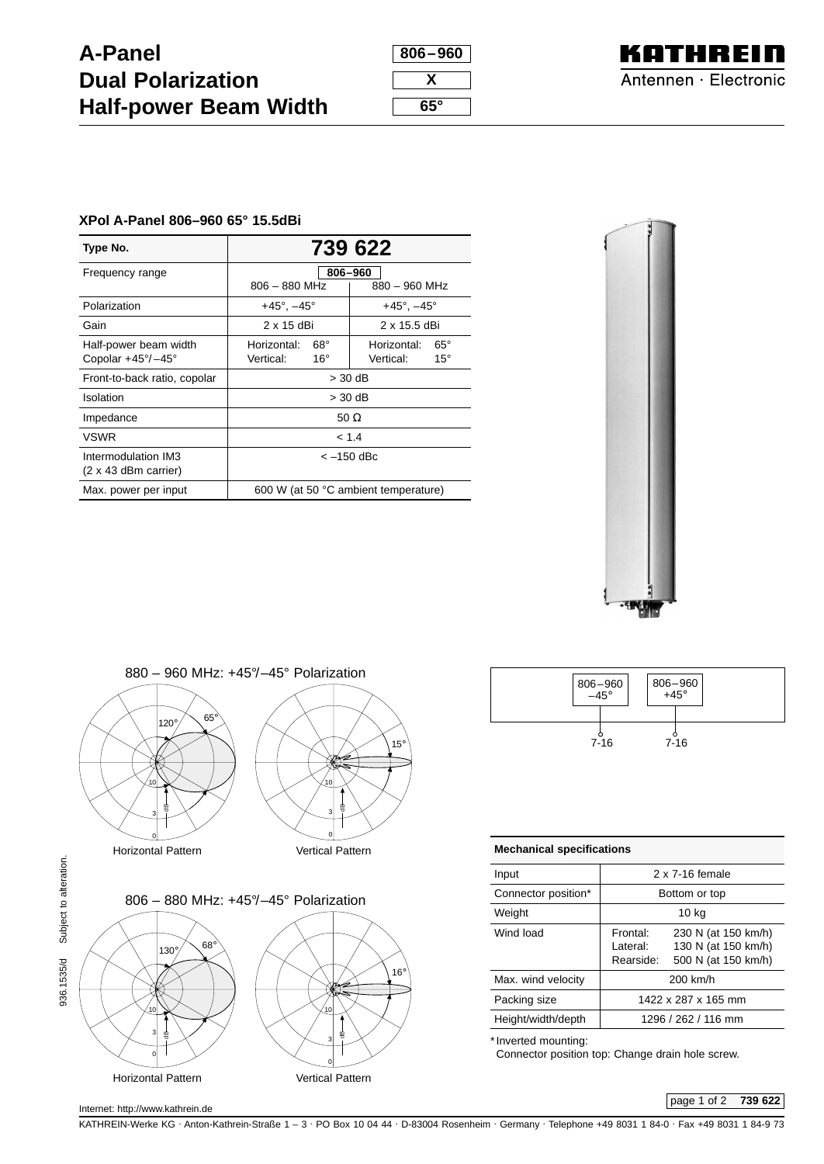## **A-Panel Dual Polarization Half-power Beam Width**

| 806–960    |
|------------|
|            |
| x          |
|            |
| $65^\circ$ |



## **XPol A-Panel 806–960 65° 15.5dBi**

| Type No.                                           | 739 622                              |                               |  |
|----------------------------------------------------|--------------------------------------|-------------------------------|--|
| Frequency range                                    | 806-960                              |                               |  |
|                                                    | $806 - 880$ MHz<br>880 - 960 MHz     |                               |  |
| Polarization                                       | $+45^{\circ}$ , $-45^{\circ}$        | $+45^{\circ}$ , $-45^{\circ}$ |  |
| Gain                                               | $2 \times 15$ dBi                    | 2 x 15.5 dBi                  |  |
| Half-power beam width                              | $68^\circ$<br>Horizontal:            | $65^\circ$<br>Horizontal:     |  |
| Copolar $+45^{\circ}/-45^{\circ}$                  | Vertical:<br>$16^{\circ}$            | Vertical:<br>$15^{\circ}$     |  |
| Front-to-back ratio, copolar                       | $>$ 30 dB                            |                               |  |
| Isolation                                          | > 30 dB                              |                               |  |
| Impedance                                          | 50 $\Omega$                          |                               |  |
| <b>VSWR</b>                                        | < 1.4                                |                               |  |
| Intermodulation IM3<br>$(2 \times 43$ dBm carrier) | < –150 dBc                           |                               |  |
| Max. power per input                               | 600 W (at 50 °C ambient temperature) |                               |  |







| $806 - 960$<br>-45° | $806 - 960 + 45^{\circ}$ |
|---------------------|--------------------------|
| $7 - 16$            | $7 - 16$                 |

| <b>Mechanical specifications</b> |                                    |                                                                   |  |
|----------------------------------|------------------------------------|-------------------------------------------------------------------|--|
| Input                            | 2 x 7-16 female                    |                                                                   |  |
| Connector position*              | Bottom or top                      |                                                                   |  |
| Weight                           | 10 kg                              |                                                                   |  |
| Wind load                        | Frontal:<br>I ateral:<br>Rearside: | 230 N (at 150 km/h)<br>130 N (at 150 km/h)<br>500 N (at 150 km/h) |  |
| Max. wind velocity               | 200 km/h                           |                                                                   |  |
| Packing size                     | 1422 x 287 x 165 mm                |                                                                   |  |
| Height/width/depth               | 1296 / 262 / 116 mm                |                                                                   |  |

\* Inverted mounting:

Connector position top: Change drain hole screw.

936.1535/d Subject to alteration.

KATHREIN-Werke KG . Anton-Kathrein-Straße 1 – 3 . PO Box 10 04 44 . D-83004 Rosenheim . Germany . Telephone +49 8031 1 84-0 . Fax +49 8031 1 84-9 73